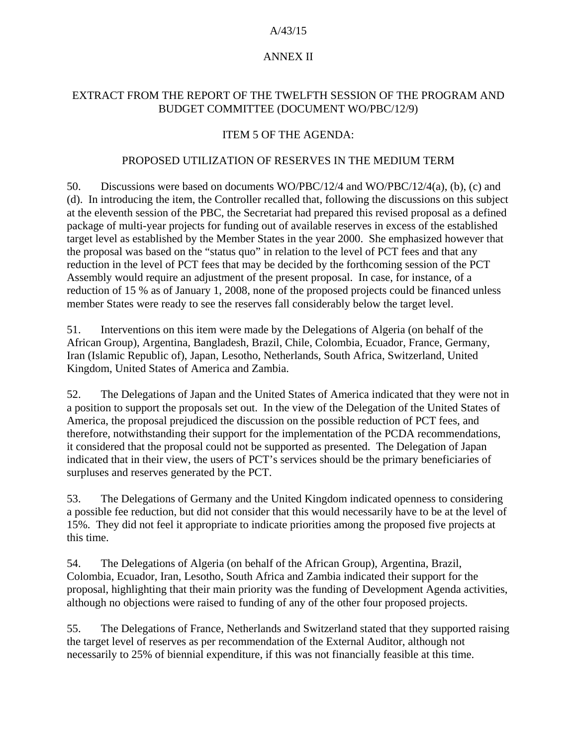#### A/43/15

# ANNEX II

## EXTRACT FROM THE REPORT OF THE TWELFTH SESSION OF THE PROGRAM AND BUDGET COMMITTEE (DOCUMENT WO/PBC/12/9)

# ITEM 5 OF THE AGENDA:

#### PROPOSED UTILIZATION OF RESERVES IN THE MEDIUM TERM

50. Discussions were based on documents WO/PBC/12/4 and WO/PBC/12/4(a), (b), (c) and (d). In introducing the item, the Controller recalled that, following the discussions on this subject at the eleventh session of the PBC, the Secretariat had prepared this revised proposal as a defined package of multi-year projects for funding out of available reserves in excess of the established target level as established by the Member States in the year 2000. She emphasized however that the proposal was based on the "status quo" in relation to the level of PCT fees and that any reduction in the level of PCT fees that may be decided by the forthcoming session of the PCT Assembly would require an adjustment of the present proposal. In case, for instance, of a reduction of 15 % as of January 1, 2008, none of the proposed projects could be financed unless member States were ready to see the reserves fall considerably below the target level.

51. Interventions on this item were made by the Delegations of Algeria (on behalf of the African Group), Argentina, Bangladesh, Brazil, Chile, Colombia, Ecuador, France, Germany, Iran (Islamic Republic of), Japan, Lesotho, Netherlands, South Africa, Switzerland, United Kingdom, United States of America and Zambia.

52. The Delegations of Japan and the United States of America indicated that they were not in a position to support the proposals set out. In the view of the Delegation of the United States of America, the proposal prejudiced the discussion on the possible reduction of PCT fees, and therefore, notwithstanding their support for the implementation of the PCDA recommendations, it considered that the proposal could not be supported as presented. The Delegation of Japan indicated that in their view, the users of PCT's services should be the primary beneficiaries of surpluses and reserves generated by the PCT.

53. The Delegations of Germany and the United Kingdom indicated openness to considering a possible fee reduction, but did not consider that this would necessarily have to be at the level of 15%. They did not feel it appropriate to indicate priorities among the proposed five projects at this time.

54. The Delegations of Algeria (on behalf of the African Group), Argentina, Brazil, Colombia, Ecuador, Iran, Lesotho, South Africa and Zambia indicated their support for the proposal, highlighting that their main priority was the funding of Development Agenda activities, although no objections were raised to funding of any of the other four proposed projects.

55. The Delegations of France, Netherlands and Switzerland stated that they supported raising the target level of reserves as per recommendation of the External Auditor, although not necessarily to 25% of biennial expenditure, if this was not financially feasible at this time.